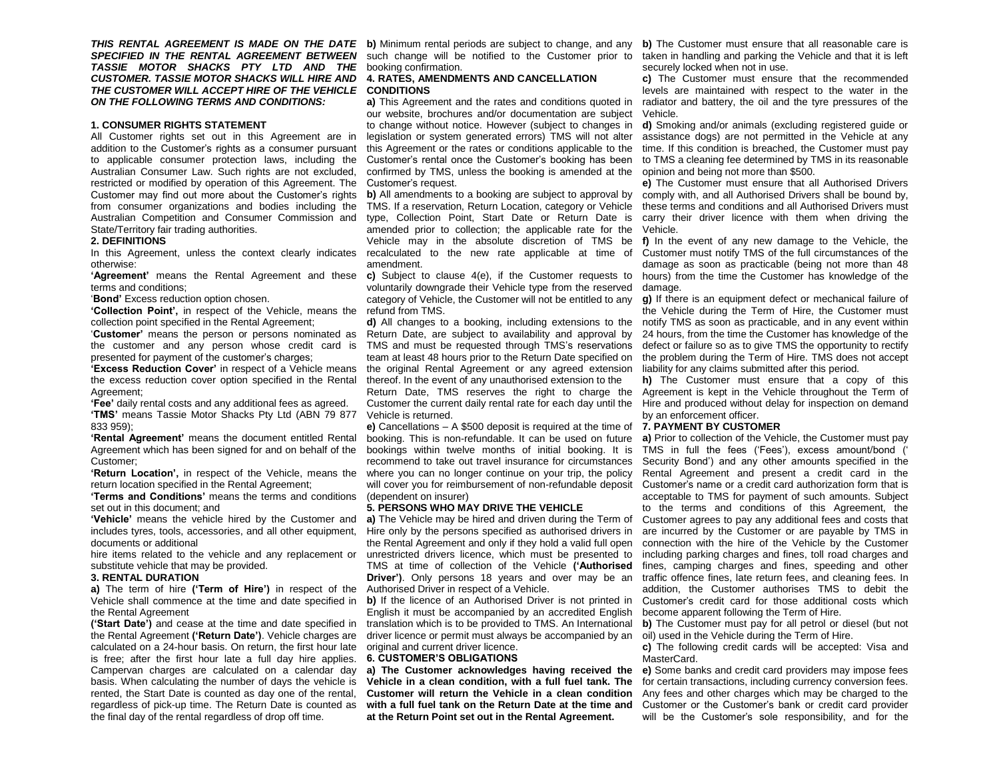**THIS RENTAL AGREEMENT IS MADE ON THE DATE** b) Minimum rental periods are subject to change, and any b) The Customer must ensure that all reasonable care is *TASSIE MOTOR SHACKS PTY LTD AND THE*  booking confirmation. *CUSTOMER. TASSIE MOTOR SHACKS WILL HIRE AND THE CUSTOMER WILL ACCEPT HIRE OF THE VEHICLE*  **CONDITIONS** *ON THE FOLLOWING TERMS AND CONDITIONS:*

# **1. CONSUMER RIGHTS STATEMENT**

All Customer rights set out in this Agreement are in addition to the Customer's rights as a consumer pursuant to applicable consumer protection laws, including the Australian Consumer Law. Such rights are not excluded, restricted or modified by operation of this Agreement. The Customer may find out more about the Customer's rights from consumer organizations and bodies including the Australian Competition and Consumer Commission and State/Territory fair trading authorities.

# **2. DEFINITIONS**

otherwise:

terms and conditions;

'**Bond'** Excess reduction option chosen.

**'Collection Point',** in respect of the Vehicle, means the refund from TMS. collection point specified in the Rental Agreement;

'**Customer'** means the person or persons nominated as presented for payment of the customer's charges;

**'Excess Reduction Cover'** in respect of a Vehicle means the excess reduction cover option specified in the Rental Agreement;

**'Fee'** daily rental costs and any additional fees as agreed. **'TMS'** means Tassie Motor Shacks Pty Ltd (ABN 79 877 Vehicle is returned. 833 959);

**'Rental Agreement'** means the document entitled Rental Agreement which has been signed for and on behalf of the Customer;

**'Return Location',** in respect of the Vehicle, means the return location specified in the Rental Agreement;

**'Terms and Conditions'** means the terms and conditions set out in this document; and

**'Vehicle'** means the vehicle hired by the Customer and includes tyres, tools, accessories, and all other equipment, documents or additional

hire items related to the vehicle and any replacement or substitute vehicle that may be provided.

### **3. RENTAL DURATION**

**a)** The term of hire **('Term of Hire')** in respect of the Vehicle shall commence at the time and date specified in the Rental Agreement

**('Start Date')** and cease at the time and date specified in the Rental Agreement **('Return Date')**. Vehicle charges are calculated on a 24-hour basis. On return, the first hour late is free; after the first hour late a full day hire applies. Campervan charges are calculated on a calendar day basis. When calculating the number of days the vehicle is rented, the Start Date is counted as day one of the rental, regardless of pick-up time. The Return Date is counted as the final day of the rental regardless of drop off time.

# **4. RATES, AMENDMENTS AND CANCELLATION**

our website, brochures and/or documentation are subject to change without notice. However (subject to changes in **d)** Smoking and/or animals (excluding registered guide or legislation or system generated errors) TMS will not alter this Agreement or the rates or conditions applicable to the confirmed by TMS, unless the booking is amended at the opinion and being not more than \$500. Customer's request.

In this Agreement, unless the context clearly indicates recalculated to the new rate applicable at time of Customer must notify TMS of the full circumstances of the **b)** All amendments to a booking are subject to approval by TMS. If a reservation, Return Location, category or Vehicle these terms and conditions and all Authorised Drivers must type, Collection Point, Start Date or Return Date is carry their driver licence with them when driving the amended prior to collection; the applicable rate for the Vehicle may in the absolute discretion of TMS be amendment.

> voluntarily downgrade their Vehicle type from the reserved category of Vehicle, the Customer will not be entitled to any **g)** If there is an equipment defect or mechanical failure of

the customer and any person whose credit card is TMS and must be requested through TMS's reservations **d)** All changes to a booking, including extensions to the Return Date, are subject to availability and approval by team at least 48 hours prior to the Return Date specified on the problem during the Term of Hire. TMS does not accept the original Rental Agreement or any agreed extension thereof. In the event of any unauthorised extension to the

> Return Date, TMS reserves the right to charge the Agreement is kept in the Vehicle throughout the Term of Customer the current daily rental rate for each day until the Hire and produced without delay for inspection on demand

> **e)** Cancellations – A \$500 deposit is required at the time of **7. PAYMENT BY CUSTOMER** booking. This is non-refundable. It can be used on future **a)** Prior to collection of the Vehicle, the Customer must pay bookings within twelve months of initial booking. It is recommend to take out travel insurance for circumstances where you can no longer continue on your trip, the policy will cover you for reimbursement of non-refundable deposit Customer's name or a credit card authorization form that is (dependent on insurer)

### **5. PERSONS WHO MAY DRIVE THE VEHICLE**

Hire only by the persons specified as authorised drivers in are incurred by the Customer or are payable by TMS in the Rental Agreement and only if they hold a valid full open connection with the hire of the Vehicle by the Customer unrestricted drivers licence, which must be presented to TMS at time of collection of the Vehicle **('Authorised**  fines, camping charges and fines, speeding and other Driver'). Only persons 18 years and over may be an traffic offence fines, late return fees, and cleaning fees. In Authorised Driver in respect of a Vehicle.

English it must be accompanied by an accredited English translation which is to be provided to TMS. An International driver licence or permit must always be accompanied by an oil) used in the Vehicle during the Term of Hire. original and current driver licence.

#### **6. CUSTOMER'S OBLIGATIONS**

**Vehicle in a clean condition, with a full fuel tank. The Customer will return the Vehicle in a clean condition**  with a full fuel tank on the Return Date at the time and Customer or the Customer's bank or credit card provider **at the Return Point set out in the Rental Agreement.**

SPECIFIED IN THE RENTAL AGREEMENT BETWEEN such change will be notified to the Customer prior to taken in handling and parking the Vehicle and that it is left securely locked when not in use.

**a)** This Agreement and the rates and conditions quoted in radiator and battery, the oil and the tyre pressures of the **c)** The Customer must ensure that the recommended levels are maintained with respect to the water in the Vehicle.

Customer's rental once the Customer's booking has been to TMS a cleaning fee determined by TMS in its reasonable assistance dogs) are not permitted in the Vehicle at any time. If this condition is breached, the Customer must pay

> **e)** The Customer must ensure that all Authorised Drivers comply with, and all Authorised Drivers shall be bound by, Vehicle.

**'Agreement'** means the Rental Agreement and these **c)** Subject to clause 4(e), if the Customer requests to hours) from the time the Customer has knowledge of the **f)** In the event of any new damage to the Vehicle, the damage as soon as practicable (being not more than 48 damage.

> the Vehicle during the Term of Hire, the Customer must notify TMS as soon as practicable, and in any event within 24 hours, from the time the Customer has knowledge of the defect or failure so as to give TMS the opportunity to rectify liability for any claims submitted after this period.

**h)** The Customer must ensure that a copy of this by an enforcement officer.

**a)** The Vehicle may be hired and driven during the Term of Customer agrees to pay any additional fees and costs that **b)** If the licence of an Authorised Driver is not printed in Customer's credit card for those additional costs which TMS in full the fees ('Fees'), excess amount/bond (' Security Bond') and any other amounts specified in the Rental Agreement and present a credit card in the acceptable to TMS for payment of such amounts. Subject to the terms and conditions of this Agreement, the including parking charges and fines, toll road charges and addition, the Customer authorises TMS to debit the become apparent following the Term of Hire.

**b)** The Customer must pay for all petrol or diesel (but not

**c)** The following credit cards will be accepted: Visa and MasterCard.

**a) The Customer acknowledges having received the e)** Some banks and credit card providers may impose fees for certain transactions, including currency conversion fees. Any fees and other charges which may be charged to the will be the Customer's sole responsibility, and for the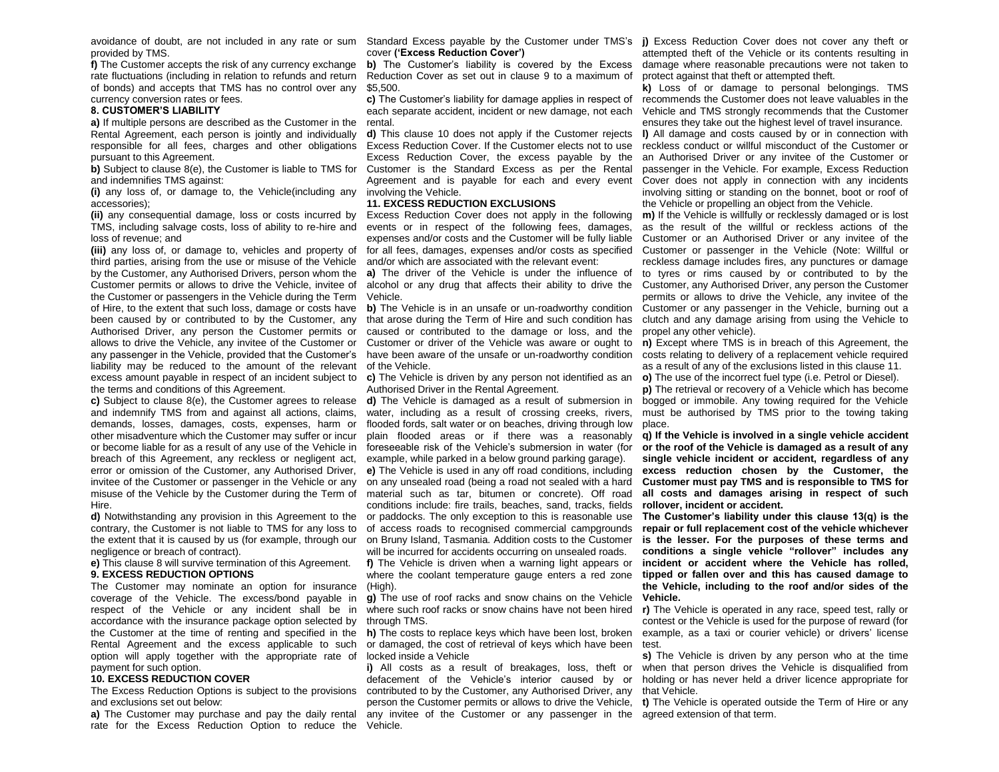provided by TMS.

**f)** The Customer accepts the risk of any currency exchange rate fluctuations (including in relation to refunds and return of bonds) and accepts that TMS has no control over any currency conversion rates or fees.

# **8. CUSTOMER'S LIABILITY**

**a)** If multiple persons are described as the Customer in the Rental Agreement, each person is jointly and individually responsible for all fees, charges and other obligations Excess Reduction Cover. If the Customer elects not to use reckless conduct or willful misconduct of the Customer or pursuant to this Agreement.

and indemnifies TMS against:

**(i)** any loss of, or damage to, the Vehicle(including any involving the Vehicle. accessories);

**(ii)** any consequential damage, loss or costs incurred by TMS, including salvage costs, loss of ability to re-hire and events or in respect of the following fees, damages, loss of revenue; and

**(iii)** any loss of, or damage to, vehicles and property of third parties, arising from the use or misuse of the Vehicle by the Customer, any Authorised Drivers, person whom the Customer permits or allows to drive the Vehicle, invitee of the Customer or passengers in the Vehicle during the Term of Hire, to the extent that such loss, damage or costs have any passenger in the Vehicle, provided that the Customer's liability may be reduced to the amount of the relevant of the Vehicle. excess amount payable in respect of an incident subject to c) The Vehicle is driven by any person not identified as an o) The use of the incorrect fuel type (i.e. Petrol or Diesel). the terms and conditions of this Agreement.

**c)** Subject to clause 8(e), the Customer agrees to release and indemnify TMS from and against all actions, claims, demands, losses, damages, costs, expenses, harm or other misadventure which the Customer may suffer or incur or become liable for as a result of any use of the Vehicle in breach of this Agreement, any reckless or negligent act, error or omission of the Customer, any Authorised Driver, invitee of the Customer or passenger in the Vehicle or any misuse of the Vehicle by the Customer during the Term of Hire.

**d)** Notwithstanding any provision in this Agreement to the contrary, the Customer is not liable to TMS for any loss to the extent that it is caused by us (for example, through our negligence or breach of contract).

**e)** This clause 8 will survive termination of this Agreement. **9. EXCESS REDUCTION OPTIONS**

The Customer may nominate an option for insurance coverage of the Vehicle. The excess/bond payable in respect of the Vehicle or any incident shall be in accordance with the insurance package option selected by the Customer at the time of renting and specified in the Rental Agreement and the excess applicable to such option will apply together with the appropriate rate of payment for such option.

## **10. EXCESS REDUCTION COVER**

and exclusions set out below:

**a)** The Customer may purchase and pay the daily rental rate for the Excess Reduction Option to reduce the Vehicle.

cover **('Excess Reduction Cover')**

Reduction Cover as set out in clause 9 to a maximum of protect against that theft or attempted theft. \$5,500.

c) The Customer's liability for damage applies in respect of recommends the Customer does not leave valuables in the each separate accident, incident or new damage, not each rental.

**b)** Subject to clause 8(e), the Customer is liable to TMS for Customer is the Standard Excess as per the Rental Excess Reduction Cover, the excess payable by the Agreement and is payable for each and every event Cover does not apply in connection with any incidents

### **11. EXCESS REDUCTION EXCLUSIONS**

Excess Reduction Cover does not apply in the following expenses and/or costs and the Customer will be fully liable Customer or an Authorised Driver or any invitee of the for all fees, damages, expenses and/or costs as specified Customer or passenger in the Vehicle (Note: Willful or and/or which are associated with the relevant event:

**a)** The driver of the Vehicle is under the influence of alcohol or any drug that affects their ability to drive the Customer, any Authorised Driver, any person the Customer Vehicle.

been caused by or contributed to by the Customer, any that arose during the Term of Hire and such condition has clutch and any damage arising from using the Vehicle to Authorised Driver, any person the Customer permits or caused or contributed to the damage or loss, and the allows to drive the Vehicle, any invitee of the Customer or Customer or driver of the Vehicle was aware or ought to n) Except where TMS is in breach of this Agreement, the **b)** The Vehicle is in an unsafe or un-roadworthy condition have been aware of the unsafe or un-roadworthy condition costs relating to delivery of a replacement vehicle required

Authorised Driver in the Rental Agreement.

**d)** The Vehicle is damaged as a result of submersion in water, including as a result of crossing creeks, rivers, must be authorised by TMS prior to the towing taking flooded fords, salt water or on beaches, driving through low place. plain flooded areas or if there was a reasonably **q) If the Vehicle is involved in a single vehicle accident** foreseeable risk of the Vehicle's submersion in water (for example, while parked in a below ground parking garage). **e)** The Vehicle is used in any off road conditions, including on any unsealed road (being a road not sealed with a hard material such as tar, bitumen or concrete). Off road conditions include: fire trails, beaches, sand, tracks, fields **rollover, incident or accident.** or paddocks. The only exception to this is reasonable use of access roads to recognised commercial campgrounds **repair or full replacement cost of the vehicle whichever**  on Bruny Island, Tasmania. Addition costs to the Customer will be incurred for accidents occurring on unsealed roads. **f)** The Vehicle is driven when a warning light appears or where the coolant temperature gauge enters a red zone (High).

**g)** The use of roof racks and snow chains on the Vehicle **Vehicle.** where such roof racks or snow chains have not been hired r) The Vehicle is operated in any race, speed test, rally or through TMS.

or damaged, the cost of retrieval of keys which have been test. locked inside a Vehicle

The Excess Reduction Options is subject to the provisions contributed to by the Customer, any Authorised Driver, any that Vehicle. **i)** All costs as a result of breakages, loss, theft or defacement of the Vehicle's interior caused by or holding or has never held a driver licence appropriate for person the Customer permits or allows to drive the Vehicle, **t)** The Vehicle is operated outside the Term of Hire or any any invitee of the Customer or any passenger in the agreed extension of that term.

avoidance of doubt, are not included in any rate or sum Standard Excess payable by the Customer under TMS's (j) Excess Reduction Cover does not cover any theft or **b)** The Customer's liability is covered by the Excess damage where reasonable precautions were not taken to attempted theft of the Vehicle or its contents resulting in

> **k)** Loss of or damage to personal belongings. TMS Vehicle and TMS strongly recommends that the Customer ensures they take out the highest level of travel insurance.

**d)** This clause 10 does not apply if the Customer rejects **l)** All damage and costs caused by or in connection with an Authorised Driver or any invitee of the Customer or passenger in the Vehicle. For example, Excess Reduction involving sitting or standing on the bonnet, boot or roof of the Vehicle or propelling an object from the Vehicle.

> **m)** If the Vehicle is willfully or recklessly damaged or is lost as the result of the willful or reckless actions of the reckless damage includes fires, any punctures or damage to tyres or rims caused by or contributed to by the permits or allows to drive the Vehicle, any invitee of the Customer or any passenger in the Vehicle, burning out a propel any other vehicle).

as a result of any of the exclusions listed in this clause 11.

**p)** The retrieval or recovery of a Vehicle which has become bogged or immobile. Any towing required for the Vehicle

**or the roof of the Vehicle is damaged as a result of any single vehicle incident or accident, regardless of any excess reduction chosen by the Customer, the Customer must pay TMS and is responsible to TMS for all costs and damages arising in respect of such** 

**The Customer's liability under this clause 13(q) is the is the lesser. For the purposes of these terms and conditions a single vehicle "rollover" includes any incident or accident where the Vehicle has rolled, tipped or fallen over and this has caused damage to the Vehicle, including to the roof and/or sides of the** 

h) The costs to replace keys which have been lost, broken example, as a taxi or courier vehicle) or drivers' license contest or the Vehicle is used for the purpose of reward (for

> **s)** The Vehicle is driven by any person who at the time when that person drives the Vehicle is disqualified from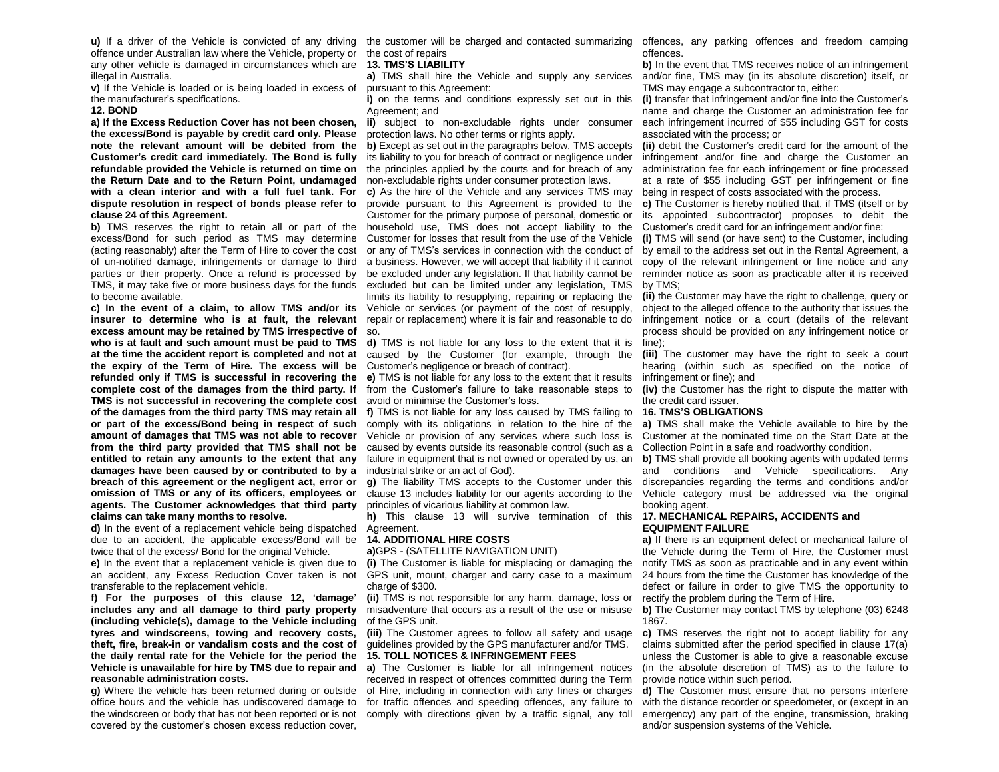u) If a driver of the Vehicle is convicted of any driving the customer will be charged and contacted summarizing offences, any parking offences and freedom camping offence under Australian law where the Vehicle, property or the cost of repairs any other vehicle is damaged in circumstances which are **13. TMS'S LIABILITY** illegal in Australia.

**v)** If the Vehicle is loaded or is being loaded in excess of the manufacturer's specifications.

#### **12. BOND**

**a) If the Excess Reduction Cover has not been chosen, the excess/Bond is payable by credit card only. Please note the relevant amount will be debited from the Customer's credit card immediately. The Bond is fully refundable provided the Vehicle is returned on time on the Return Date and to the Return Point, undamaged with a clean interior and with a full fuel tank. For dispute resolution in respect of bonds please refer to clause 24 of this Agreement.**

**b)** TMS reserves the right to retain all or part of the (acting reasonably) after the Term of Hire to cover the cost of un-notified damage, infringements or damage to third parties or their property. Once a refund is processed by TMS, it may take five or more business days for the funds excluded but can be limited under any legislation, TMS to become available.

**c) In the event of a claim, to allow TMS and/or its**  Vehicle or services (or payment of the cost of resupply, **insurer to determine who is at fault, the relevant** repair or replacement) where it is fair and reasonable to do **excess amount may be retained by TMS irrespective of**  so. who is at fault and such amount must be paid to TMS d) TMS is not liable for any loss to the extent that it is fine); **the expiry of the Term of Hire. The excess will be**  Customer's negligence or breach of contract). **refunded only if TMS is successful in recovering the e)** TMS is not liable for any loss to the extent that it results **TMS is not successful in recovering the complete cost**  avoid or minimise the Customer's loss. **of the damages from the third party TMS may retain all f)** TMS is not liable for any loss caused by TMS failing to **16. TMS'S OBLIGATIONS damages have been caused by or contributed to by a**  industrial strike or an act of God). **breach of this agreement or the negligent act, error or omission of TMS or any of its officers, employees or agents. The Customer acknowledges that third party**  principles of vicarious liability at common law. **claims can take many months to resolve.**

**d)** In the event of a replacement vehicle being dispatched Agreement. due to an accident, the applicable excess/Bond will be twice that of the excess/ Bond for the original Vehicle.

**e)** In the event that a replacement vehicle is given due to an accident, any Excess Reduction Cover taken is not transferable to the replacement vehicle.

**f) For the purposes of this clause 12, 'damage' includes any and all damage to third party property (including vehicle(s), damage to the Vehicle including tyres and windscreens, towing and recovery costs, theft, fire, break-in or vandalism costs and the cost of the daily rental rate for the Vehicle for the period the Vehicle is unavailable for hire by TMS due to repair and reasonable administration costs.**

**g)** Where the vehicle has been returned during or outside covered by the customer's chosen excess reduction cover,

pursuant to this Agreement:

Agreement; and

**ii)** subject to non-excludable rights under consumer protection laws. No other terms or rights apply.

**b)** Except as set out in the paragraphs below, TMS accepts its liability to you for breach of contract or negligence under the principles applied by the courts and for breach of any non-excludable rights under consumer protection laws.

excess/Bond for such period as TMS may determine Customer for losses that result from the use of the Vehicle (i) TMS will send (or have sent) to the Customer, including **c)** As the hire of the Vehicle and any services TMS may provide pursuant to this Agreement is provided to the Customer for the primary purpose of personal, domestic or household use, TMS does not accept liability to the Customer's credit card for an infringement and/or fine: limits its liability to resupplying, repairing or replacing the

**at the time the accident report is completed and not at**  caused by the Customer (for example, through the **(iii)** The customer may have the right to seek a court

or part of the excess/Bond being in respect of such comply with its obligations in relation to the hire of the a) TMS shall make the Vehicle available to hire by the **amount of damages that TMS was not able to recover**  Vehicle or provision of any services where such loss is **from the third party provided that TMS shall not be**  caused by events outside its reasonable control (such as a entitled to retain any amounts to the extent that any failure in equipment that is not owned or operated by us, an b) TMS shall provide all booking agents with updated terms

> **g)** The liability TMS accepts to the Customer under this clause 13 includes liability for our agents according to the

**h)** This clause 13 will survive termination of this **17. MECHANICAL REPAIRS, ACCIDENTS and** 

# **14. ADDITIONAL HIRE COSTS**

**a)**GPS - (SATELLITE NAVIGATION UNIT)

GPS unit, mount, charger and carry case to a maximum charge of \$300.

**(ii)** TMS is not responsible for any harm, damage, loss or misadventure that occurs as a result of the use or misuse **b)** The Customer may contact TMS by telephone (03) 6248 of the GPS unit.

**(iii)** The Customer agrees to follow all safety and usage guidelines provided by the GPS manufacturer and/or TMS. **15. TOLL NOTICES & INFRINGEMENT FEES**

office hours and the vehicle has undiscovered damage to for traffic offences and speeding offences, any failure to **a)** The Customer is liable for all infringement notices received in respect of offences committed during the Term of Hire, including in connection with any fines or charges

offences.

a) TMS shall hire the Vehicle and supply any services and/or fine, TMS may (in its absolute discretion) itself, or **b)** In the event that TMS receives notice of an infringement TMS may engage a subcontractor to, either:

**i)** on the terms and conditions expressly set out in this (i) transfer that infringement and/or fine into the Customer's name and charge the Customer an administration fee for each infringement incurred of \$55 including GST for costs associated with the process; or

> **(ii)** debit the Customer's credit card for the amount of the infringement and/or fine and charge the Customer an administration fee for each infringement or fine processed at a rate of \$55 including GST per infringement or fine being in respect of costs associated with the process.

> **c)** The Customer is hereby notified that, if TMS (itself or by its appointed subcontractor) proposes to debit the

or any of TMS's services in connection with the conduct of by email to the address set out in the Rental Agreement, a a business. However, we will accept that liability if it cannot copy of the relevant infringement or fine notice and any be excluded under any legislation. If that liability cannot be reminder notice as soon as practicable after it is received by TMS;

> **(ii)** the Customer may have the right to challenge, query or object to the alleged offence to the authority that issues the infringement notice or a court (details of the relevant process should be provided on any infringement notice or

> hearing (within such as specified on the notice of infringement or fine); and

complete cost of the damages from the third party. If from the Customer's failure to take reasonable steps to (iv) the Customer has the right to dispute the matter with the credit card issuer.

Customer at the nominated time on the Start Date at the Collection Point in a safe and roadworthy condition.

and conditions and Vehicle specifications. Any discrepancies regarding the terms and conditions and/or Vehicle category must be addressed via the original booking agent.

# **EQUIPMENT FAILURE**

**(i)** The Customer is liable for misplacing or damaging the notify TMS as soon as practicable and in any event within **a)** If there is an equipment defect or mechanical failure of the Vehicle during the Term of Hire, the Customer must 24 hours from the time the Customer has knowledge of the defect or failure in order to give TMS the opportunity to rectify the problem during the Term of Hire.

1867.

**c)** TMS reserves the right not to accept liability for any claims submitted after the period specified in clause 17(a) unless the Customer is able to give a reasonable excuse (in the absolute discretion of TMS) as to the failure to provide notice within such period.

the windscreen or body that has not been reported or is not comply with directions given by a traffic signal, any toll emergency) any part of the engine, transmission, braking **d)** The Customer must ensure that no persons interfere with the distance recorder or speedometer, or (except in an and/or suspension systems of the Vehicle.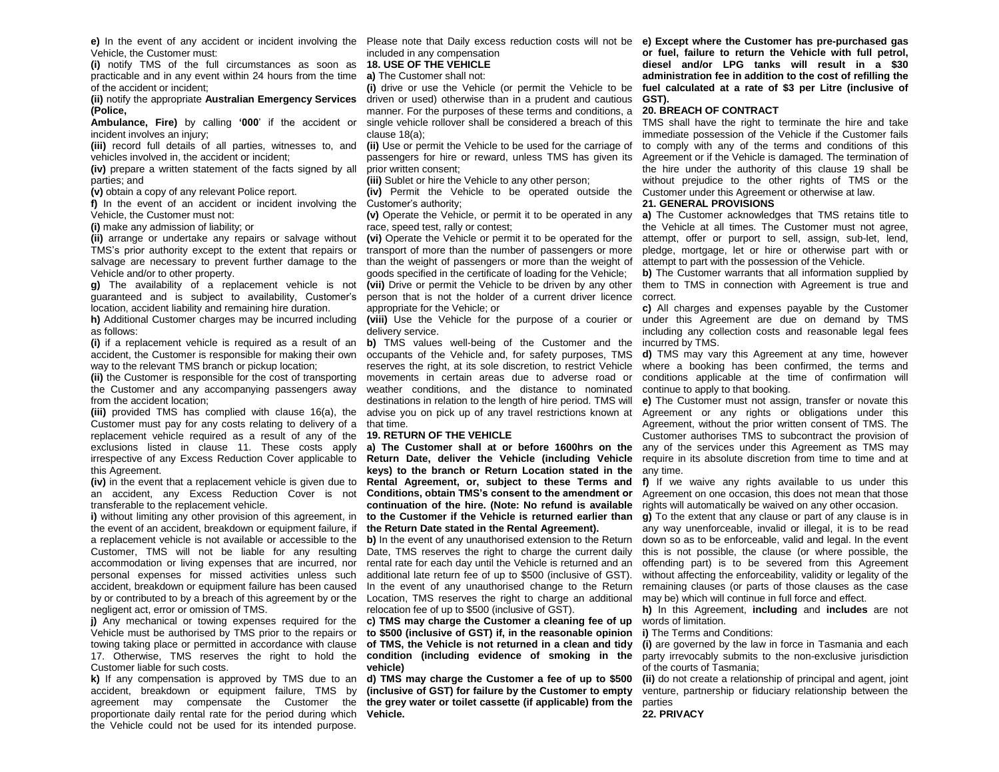Vehicle, the Customer must:

**(i)** notify TMS of the full circumstances as soon as **18. USE OF THE VEHICLE** practicable and in any event within 24 hours from the time **a)** The Customer shall not: of the accident or incident;

**(Police,**

**Ambulance, Fire)** by calling **'000**' if the accident or incident involves an injury;

**(iii)** record full details of all parties, witnesses to, and vehicles involved in, the accident or incident;

**(iv)** prepare a written statement of the facts signed by all parties; and

**(v)** obtain a copy of any relevant Police report.

**f)** In the event of an accident or incident involving the Customer's authority; Vehicle, the Customer must not:

**(i)** make any admission of liability; or

TMS's prior authority except to the extent that repairs or Vehicle and/or to other property.

location, accident liability and remaining hire duration.

h) Additional Customer charges may be incurred including (viii) Use the Vehicle for the purpose of a courier or under this Agreement are due on demand by TMS as follows:

**(i)** if a replacement vehicle is required as a result of an **b)** TMS values well-being of the Customer and the accident, the Customer is responsible for making their own way to the relevant TMS branch or pickup location:

the Customer and any accompanying passengers away from the accident location;

**(iii)** provided TMS has complied with clause 16(a), the Customer must pay for any costs relating to delivery of a that time. replacement vehicle required as a result of any of the exclusions listed in clause 11. These costs apply this Agreement.

**(iv)** in the event that a replacement vehicle is given due to an accident, any Excess Reduction Cover is not transferable to the replacement vehicle.

**i)** without limiting any other provision of this agreement, in the event of an accident, breakdown or equipment failure, if a replacement vehicle is not available or accessible to the personal expenses for missed activities unless such accident, breakdown or equipment failure has been caused by or contributed to by a breach of this agreement by or the Location, TMS reserves the right to charge an additional negligent act, error or omission of TMS.

**j)** Any mechanical or towing expenses required for the c) TMS may charge the Customer a cleaning fee of up Vehicle must be authorised by TMS prior to the repairs or Customer liable for such costs.

proportionate daily rental rate for the period during which **Vehicle.** the Vehicle could not be used for its intended purpose.

included in any compensation

**(ii)** notify the appropriate **Australian Emergency Services**  driven or used) otherwise than in a prudent and cautious **GST). (i)** drive or use the Vehicle (or permit the Vehicle to be manner. For the purposes of these terms and conditions, a **20. BREACH OF CONTRACT** single vehicle rollover shall be considered a breach of this TMS shall have the right to terminate the hire and take clause 18(a);

> **(ii)** Use or permit the Vehicle to be used for the carriage of prior written consent;

**(iii)** Sublet or hire the Vehicle to any other person;

**(iv)** Permit the Vehicle to be operated outside the Customer under this Agreement or otherwise at law.

**(v)** Operate the Vehicle, or permit it to be operated in any race, speed test, rally or contest;

salvage are necessary to prevent further damage to the than the weight of passengers or more than the weight of attempt to part with the possession of the Vehicle. transport of more than the number of passengers or more pledge, mortgage, let or hire or otherwise part with or goods specified in the certificate of loading for the Vehicle;

g) The availability of a replacement vehicle is not (vii) Drive or permit the Vehicle to be driven by any other them to TMS in connection with Agreement is true and guaranteed and is subject to availability, Customer's person that is not the holder of a current driver licence correct. appropriate for the Vehicle; or

delivery service.

**(ii)** the Customer is responsible for the cost of transporting movements in certain areas due to adverse road or occupants of the Vehicle and, for safety purposes, TMS weather conditions, and the distance to nominated destinations in relation to the length of hire period. TMS will

### **19. RETURN OF THE VEHICLE**

irrespective of any Excess Reduction Cover applicable to Return Date, deliver the Vehicle (including Vehicle require in its absolute discretion from time to time and at **keys) to the branch or Return Location stated in the**  any time. **Rental Agreement, or, subject to these Terms and f)** If we waive any rights available to us under this **Conditions, obtain TMS's consent to the amendment or**  Agreement on one occasion, this does not mean that those **continuation of the hire. (Note: No refund is available**  rights will automatically be waived on any other occasion. **to the Customer if the Vehicle is returned earlier than g) To the extent that any clause or part of any clause is in** 

# **the Return Date stated in the Rental Agreement).**

additional late return fee of up to \$500 (inclusive of GST). relocation fee of up to \$500 (inclusive of GST).

**to \$500 (inclusive of GST) if, in the reasonable opinion vehicle)**

**k)** If any compensation is approved by TMS due to an **d) TMS may charge the Customer a fee of up to \$500**  accident, breakdown or equipment failure, TMS by (inclusive of GST) for failure by the Customer to empty venture, partnership or fiduciary relationship between the agreement may compensate the Customer the **the grey water or toilet cassette (if applicable) from the**  parties

**e)** In the event of any accident or incident involving the Please note that Daily excess reduction costs will not be **e) Except where the Customer has pre-purchased gas or fuel, failure to return the Vehicle with full petrol, diesel and/or LPG tanks will result in a \$30 administration fee in addition to the cost of refilling the fuel calculated at a rate of \$3 per Litre (inclusive of** 

passengers for hire or reward, unless TMS has given its Agreement or if the Vehicle is damaged. The termination of immediate possession of the Vehicle if the Customer fails to comply with any of the terms and conditions of this the hire under the authority of this clause 19 shall be without prejudice to the other rights of TMS or the

### **21. GENERAL PROVISIONS**

(ii) arrange or undertake any repairs or salvage without (vi) Operate the Vehicle or permit it to be operated for the attempt, offer or purport to sell, assign, sub-let, lend, **a)** The Customer acknowledges that TMS retains title to the Vehicle at all times. The Customer must not agree,

**b)** The Customer warrants that all information supplied by

**c)** All charges and expenses payable by the Customer including any collection costs and reasonable legal fees incurred by TMS.

reserves the right, at its sole discretion, to restrict Vehicle where a booking has been confirmed, the terms and **d)** TMS may vary this Agreement at any time, however conditions applicable at the time of confirmation will continue to apply to that booking.

advise you on pick up of any travel restrictions known at Agreement or any rights or obligations under this **a) The Customer shall at or before 1600hrs on the** any of the services under this Agreement as TMS may **e)** The Customer must not assign, transfer or novate this Agreement, without the prior written consent of TMS. The Customer authorises TMS to subcontract the provision of

Customer, TMS will not be liable for any resulting Date, TMS reserves the right to charge the current daily this is not possible, the clause (or where possible, the accommodation or living expenses that are incurred, nor rental rate for each day until the Vehicle is returned and an offending part) is to be severed from this Agreement **b)** In the event of any unauthorised extension to the Return down so as to be enforceable, valid and legal. In the event In the event of any unauthorised change to the Return remaining clauses (or parts of those clauses as the case any way unenforceable, invalid or illegal, it is to be read without affecting the enforceability, validity or legality of the may be) which will continue in full force and effect.

> **h)** In this Agreement, **including** and **includes** are not words of limitation.

#### **i)** The Terms and Conditions:

towing taking place or permitted in accordance with clause of TMS, the Vehicle is not returned in a clean and tidy (i) are governed by the law in force in Tasmania and each 17. Otherwise, TMS reserves the right to hold the condition (including evidence of smoking in the party irrevocably submits to the non-exclusive jurisdiction of the courts of Tasmania;

**(ii)** do not create a relationship of principal and agent, joint

# **22. PRIVACY**